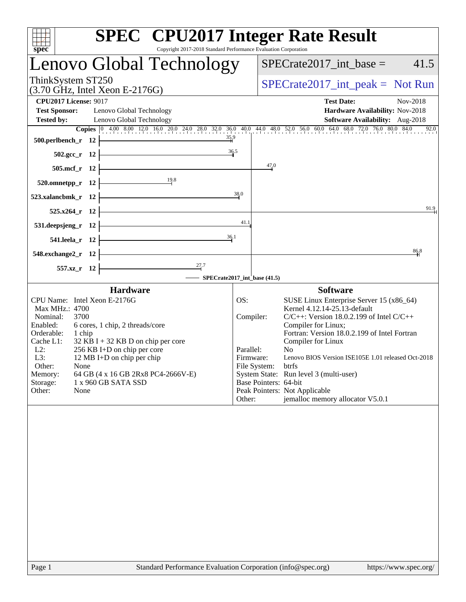| <b>SPEC<sup>®</sup></b> CPU2017 Integer Rate Result<br>Copyright 2017-2018 Standard Performance Evaluation Corporation<br>spec                                                                                                                                                                                                                                                                                          |                                                                      |                       |                                                                                                                                                                                                                                                                                                                                                                                                                                           |          |  |
|-------------------------------------------------------------------------------------------------------------------------------------------------------------------------------------------------------------------------------------------------------------------------------------------------------------------------------------------------------------------------------------------------------------------------|----------------------------------------------------------------------|-----------------------|-------------------------------------------------------------------------------------------------------------------------------------------------------------------------------------------------------------------------------------------------------------------------------------------------------------------------------------------------------------------------------------------------------------------------------------------|----------|--|
| Lenovo Global Technology                                                                                                                                                                                                                                                                                                                                                                                                |                                                                      |                       | $SPECrate2017\_int\_base =$                                                                                                                                                                                                                                                                                                                                                                                                               | 41.5     |  |
| ThinkSystem ST250<br>$(3.70 \text{ GHz}, \text{Intel Xeon E-2176G})$                                                                                                                                                                                                                                                                                                                                                    | $SPECrate2017\_int\_peak = Not Run$                                  |                       |                                                                                                                                                                                                                                                                                                                                                                                                                                           |          |  |
| <b>CPU2017 License: 9017</b><br><b>Test Sponsor:</b><br>Lenovo Global Technology<br><b>Tested by:</b><br>Lenovo Global Technology                                                                                                                                                                                                                                                                                       |                                                                      |                       | <b>Test Date:</b><br>Hardware Availability: Nov-2018<br>Software Availability: Aug-2018                                                                                                                                                                                                                                                                                                                                                   | Nov-2018 |  |
| Copies 0 4.00 8.00 12.0 16.0 20.0 24.0 28.0 32.0 36.0 40.0 44.0 48.0 52.0 56.0 60.0 64.0 68.0 72.0 76.0 80.0 84.0<br>$\frac{35.9}{4}$<br>500.perlbench_r 12<br>36.5<br>$502.\text{gcc}_r$ 12                                                                                                                                                                                                                            |                                                                      |                       |                                                                                                                                                                                                                                                                                                                                                                                                                                           | 92.0     |  |
| 505.mcf_r 12                                                                                                                                                                                                                                                                                                                                                                                                            |                                                                      | 47.0                  |                                                                                                                                                                                                                                                                                                                                                                                                                                           |          |  |
| $\frac{19.8}{1}$<br>520.omnetpp_r 12<br>523.xalancbmk_r 12                                                                                                                                                                                                                                                                                                                                                              | 38.0                                                                 |                       |                                                                                                                                                                                                                                                                                                                                                                                                                                           |          |  |
| 525.x264_r 12                                                                                                                                                                                                                                                                                                                                                                                                           |                                                                      |                       |                                                                                                                                                                                                                                                                                                                                                                                                                                           | 91.9     |  |
| <u> 1989 - Johann Stoff, fransk politik (</u><br>$531.$ deepsjeng_r 12<br><u> 1989 - Johann Barn, fransk politik (</u><br>36.1<br>541.leela_r 12                                                                                                                                                                                                                                                                        | 41.1                                                                 |                       |                                                                                                                                                                                                                                                                                                                                                                                                                                           |          |  |
| $548$ .exchange2_r 12                                                                                                                                                                                                                                                                                                                                                                                                   |                                                                      |                       |                                                                                                                                                                                                                                                                                                                                                                                                                                           | 86.8     |  |
| 557.xz_r 12<br>- SPECrate2017_int_base (41.5)                                                                                                                                                                                                                                                                                                                                                                           |                                                                      |                       |                                                                                                                                                                                                                                                                                                                                                                                                                                           |          |  |
| <b>Hardware</b><br>CPU Name: Intel Xeon E-2176G<br>Max MHz.: 4700<br>Nominal:<br>3700<br>Enabled:<br>6 cores, 1 chip, 2 threads/core<br>Orderable:<br>1 chip<br>Cache L1:<br>$32$ KB I + 32 KB D on chip per core<br>256 KB I+D on chip per core<br>$L2$ :<br>L3:<br>12 MB I+D on chip per chip<br>Other:<br>None<br>Memory:<br>64 GB (4 x 16 GB 2Rx8 PC4-2666V-E)<br>Storage:<br>1 x 960 GB SATA SSD<br>Other:<br>None | OS:<br>Compiler:<br>Parallel:<br>Firmware:<br>File System:<br>Other: | Base Pointers: 64-bit | <b>Software</b><br>SUSE Linux Enterprise Server 15 (x86_64)<br>Kernel 4.12.14-25.13-default<br>$C/C++$ : Version 18.0.2.199 of Intel $C/C++$<br>Compiler for Linux;<br>Fortran: Version 18.0.2.199 of Intel Fortran<br>Compiler for Linux<br>N <sub>0</sub><br>Lenovo BIOS Version ISE105E 1.01 released Oct-2018<br>btrfs<br>System State: Run level 3 (multi-user)<br>Peak Pointers: Not Applicable<br>jemalloc memory allocator V5.0.1 |          |  |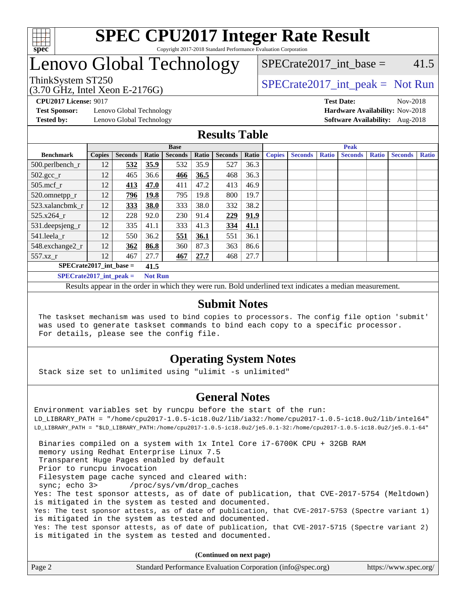

# Lenovo Global Technology

SPECrate  $2017$  int base = 41.5

(3.70 GHz, Intel Xeon E-2176G)

ThinkSystem ST250  $SPECrate2017$ \_int\_peak = Not Run

**[Test Sponsor:](http://www.spec.org/auto/cpu2017/Docs/result-fields.html#TestSponsor)** Lenovo Global Technology **[Hardware Availability:](http://www.spec.org/auto/cpu2017/Docs/result-fields.html#HardwareAvailability)** Nov-2018

**[CPU2017 License:](http://www.spec.org/auto/cpu2017/Docs/result-fields.html#CPU2017License)** 9017 **[Test Date:](http://www.spec.org/auto/cpu2017/Docs/result-fields.html#TestDate)** Nov-2018 **[Tested by:](http://www.spec.org/auto/cpu2017/Docs/result-fields.html#Testedby)** Lenovo Global Technology **[Software Availability:](http://www.spec.org/auto/cpu2017/Docs/result-fields.html#SoftwareAvailability)** Aug-2018

### **[Results Table](http://www.spec.org/auto/cpu2017/Docs/result-fields.html#ResultsTable)**

|                                             | <b>Base</b>   |                |       |                |       | <b>Peak</b>    |       |               |                |              |                |              |                |              |
|---------------------------------------------|---------------|----------------|-------|----------------|-------|----------------|-------|---------------|----------------|--------------|----------------|--------------|----------------|--------------|
| <b>Benchmark</b>                            | <b>Copies</b> | <b>Seconds</b> | Ratio | <b>Seconds</b> | Ratio | <b>Seconds</b> | Ratio | <b>Copies</b> | <b>Seconds</b> | <b>Ratio</b> | <b>Seconds</b> | <b>Ratio</b> | <b>Seconds</b> | <b>Ratio</b> |
| 500.perlbench_r                             | 12            | 532            | 35.9  | 532            | 35.9  | 527            | 36.3  |               |                |              |                |              |                |              |
| $502.\text{gcc\_r}$                         | 12            | 465            | 36.6  | 466            | 36.5  | 468            | 36.3  |               |                |              |                |              |                |              |
| 505.mcf r                                   | 12            | 413            | 47.0  | 411            | 47.2  | 413            | 46.9  |               |                |              |                |              |                |              |
| 520.omnetpp_r                               | 12            | 796            | 19.8  | 795            | 19.8  | 800            | 19.7  |               |                |              |                |              |                |              |
| 523.xalancbmk r                             | 12            | 333            | 38.0  | 333            | 38.0  | 332            | 38.2  |               |                |              |                |              |                |              |
| 525.x264 r                                  | 12            | 228            | 92.0  | 230            | 91.4  | 229            | 91.9  |               |                |              |                |              |                |              |
| 531.deepsjeng_r                             | 12            | 335            | 41.1  | 333            | 41.3  | 334            | 41.1  |               |                |              |                |              |                |              |
| 541.leela r                                 | 12            | 550            | 36.2  | 551            | 36.1  | 551            | 36.1  |               |                |              |                |              |                |              |
| 548.exchange2_r                             | 12            | 362            | 86.8  | 360            | 87.3  | 363            | 86.6  |               |                |              |                |              |                |              |
| 557.xz                                      | 12            | 467            | 27.7  | 467            | 27.7  | 468            | 27.7  |               |                |              |                |              |                |              |
| $SPECrate2017$ int base =<br>41.5           |               |                |       |                |       |                |       |               |                |              |                |              |                |              |
| $SPECrate2017$ int peak =<br><b>Not Run</b> |               |                |       |                |       |                |       |               |                |              |                |              |                |              |

Results appear in the [order in which they were run](http://www.spec.org/auto/cpu2017/Docs/result-fields.html#RunOrder). Bold underlined text [indicates a median measurement](http://www.spec.org/auto/cpu2017/Docs/result-fields.html#Median).

### **[Submit Notes](http://www.spec.org/auto/cpu2017/Docs/result-fields.html#SubmitNotes)**

 The taskset mechanism was used to bind copies to processors. The config file option 'submit' was used to generate taskset commands to bind each copy to a specific processor. For details, please see the config file.

### **[Operating System Notes](http://www.spec.org/auto/cpu2017/Docs/result-fields.html#OperatingSystemNotes)**

Stack size set to unlimited using "ulimit -s unlimited"

### **[General Notes](http://www.spec.org/auto/cpu2017/Docs/result-fields.html#GeneralNotes)**

Environment variables set by runcpu before the start of the run: LD\_LIBRARY\_PATH = "/home/cpu2017-1.0.5-ic18.0u2/lib/ia32:/home/cpu2017-1.0.5-ic18.0u2/lib/intel64" LD\_LIBRARY\_PATH = "\$LD\_LIBRARY\_PATH:/home/cpu2017-1.0.5-ic18.0u2/je5.0.1-32:/home/cpu2017-1.0.5-ic18.0u2/je5.0.1-64" Binaries compiled on a system with 1x Intel Core i7-6700K CPU + 32GB RAM memory using Redhat Enterprise Linux 7.5 Transparent Huge Pages enabled by default Prior to runcpu invocation Filesystem page cache synced and cleared with: sync; echo 3> /proc/sys/vm/drop\_caches Yes: The test sponsor attests, as of date of publication, that CVE-2017-5754 (Meltdown) is mitigated in the system as tested and documented. Yes: The test sponsor attests, as of date of publication, that CVE-2017-5753 (Spectre variant 1) is mitigated in the system as tested and documented. Yes: The test sponsor attests, as of date of publication, that CVE-2017-5715 (Spectre variant 2) is mitigated in the system as tested and documented.

**(Continued on next page)**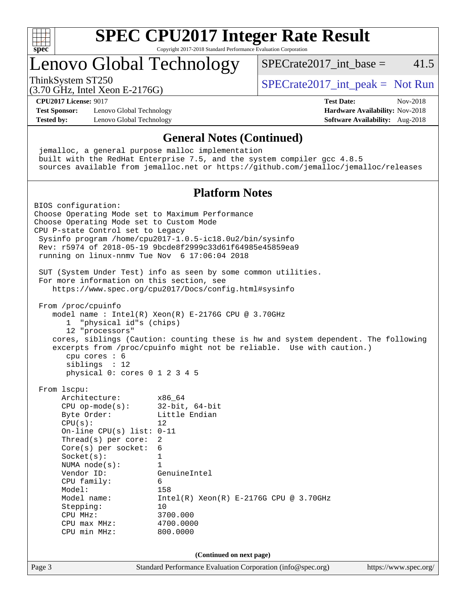

# Lenovo Global Technology

ThinkSystem ST250  $SPECrate2017$ \_int\_peak = Not Run

SPECrate  $2017$  int base = 41.5

(3.70 GHz, Intel Xeon E-2176G)

**[Test Sponsor:](http://www.spec.org/auto/cpu2017/Docs/result-fields.html#TestSponsor)** Lenovo Global Technology **[Hardware Availability:](http://www.spec.org/auto/cpu2017/Docs/result-fields.html#HardwareAvailability)** Nov-2018 **[Tested by:](http://www.spec.org/auto/cpu2017/Docs/result-fields.html#Testedby)** Lenovo Global Technology **[Software Availability:](http://www.spec.org/auto/cpu2017/Docs/result-fields.html#SoftwareAvailability)** Aug-2018

# **[CPU2017 License:](http://www.spec.org/auto/cpu2017/Docs/result-fields.html#CPU2017License)** 9017 **[Test Date:](http://www.spec.org/auto/cpu2017/Docs/result-fields.html#TestDate)** Nov-2018

### **[General Notes \(Continued\)](http://www.spec.org/auto/cpu2017/Docs/result-fields.html#GeneralNotes)**

 jemalloc, a general purpose malloc implementation built with the RedHat Enterprise 7.5, and the system compiler gcc 4.8.5 sources available from jemalloc.net or <https://github.com/jemalloc/jemalloc/releases>

### **[Platform Notes](http://www.spec.org/auto/cpu2017/Docs/result-fields.html#PlatformNotes)**

Page 3 Standard Performance Evaluation Corporation [\(info@spec.org\)](mailto:info@spec.org) <https://www.spec.org/> BIOS configuration: Choose Operating Mode set to Maximum Performance Choose Operating Mode set to Custom Mode CPU P-state Control set to Legacy Sysinfo program /home/cpu2017-1.0.5-ic18.0u2/bin/sysinfo Rev: r5974 of 2018-05-19 9bcde8f2999c33d61f64985e45859ea9 running on linux-nnmv Tue Nov 6 17:06:04 2018 SUT (System Under Test) info as seen by some common utilities. For more information on this section, see <https://www.spec.org/cpu2017/Docs/config.html#sysinfo> From /proc/cpuinfo model name : Intel $(R)$  Xeon $(R)$  E-2176G CPU @ 3.70GHz 1 "physical id"s (chips) 12 "processors" cores, siblings (Caution: counting these is hw and system dependent. The following excerpts from /proc/cpuinfo might not be reliable. Use with caution.) cpu cores : 6 siblings : 12 physical 0: cores 0 1 2 3 4 5 From lscpu: Architecture: x86\_64 CPU op-mode(s): 32-bit, 64-bit Byte Order: Little Endian  $CPU(s):$  12 On-line CPU(s) list: 0-11 Thread(s) per core: 2 Core(s) per socket: 6 Socket(s): 1 NUMA node(s): 1 Vendor ID: GenuineIntel CPU family: 6 Model: 158<br>Model name: 1158  $Intel(R)$  Xeon(R) E-2176G CPU @ 3.70GHz Stepping: 10 CPU MHz: 3700.000 CPU max MHz: 4700.0000 CPU min MHz: 800.0000 **(Continued on next page)**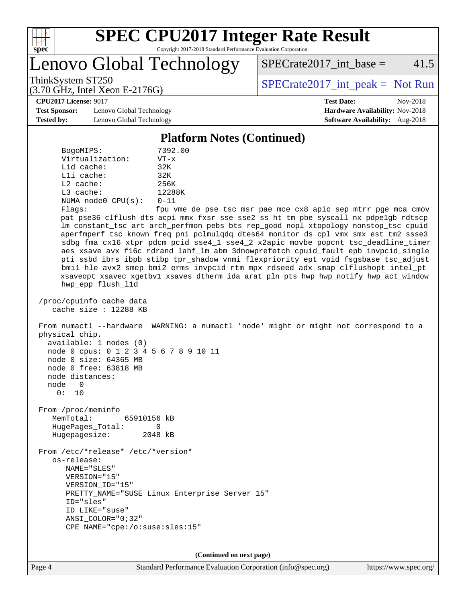

# **[SPEC CPU2017 Integer Rate Result](http://www.spec.org/auto/cpu2017/Docs/result-fields.html#SPECCPU2017IntegerRateResult)**

Copyright 2017-2018 Standard Performance Evaluation Corporation

Lenovo Global Technology

 $SPECTate2017\_int\_base = 41.5$ 

(3.70 GHz, Intel Xeon E-2176G)

ThinkSystem ST250  $SPECrate2017$ \_int\_peak = Not Run

**[CPU2017 License:](http://www.spec.org/auto/cpu2017/Docs/result-fields.html#CPU2017License)** 9017 **[Test Date:](http://www.spec.org/auto/cpu2017/Docs/result-fields.html#TestDate)** Nov-2018

**[Test Sponsor:](http://www.spec.org/auto/cpu2017/Docs/result-fields.html#TestSponsor)** Lenovo Global Technology **[Hardware Availability:](http://www.spec.org/auto/cpu2017/Docs/result-fields.html#HardwareAvailability)** Nov-2018 **[Tested by:](http://www.spec.org/auto/cpu2017/Docs/result-fields.html#Testedby)** Lenovo Global Technology **[Software Availability:](http://www.spec.org/auto/cpu2017/Docs/result-fields.html#SoftwareAvailability)** Aug-2018

**[Platform Notes \(Continued\)](http://www.spec.org/auto/cpu2017/Docs/result-fields.html#PlatformNotes)**

 BogoMIPS: 7392.00 Virtualization: VT-x L1d cache: 32K L1i cache: 32K L2 cache: 256K L3 cache: 12288K NUMA node0 CPU(s): 0-11

Flags: fpu vme de pse tsc msr pae mce cx8 apic sep mtrr pge mca cmov pat pse36 clflush dts acpi mmx fxsr sse sse2 ss ht tm pbe syscall nx pdpe1gb rdtscp lm constant\_tsc art arch\_perfmon pebs bts rep\_good nopl xtopology nonstop\_tsc cpuid aperfmperf tsc\_known\_freq pni pclmulqdq dtes64 monitor ds\_cpl vmx smx est tm2 ssse3 sdbg fma cx16 xtpr pdcm pcid sse4\_1 sse4\_2 x2apic movbe popcnt tsc\_deadline\_timer aes xsave avx f16c rdrand lahf\_lm abm 3dnowprefetch cpuid\_fault epb invpcid\_single pti ssbd ibrs ibpb stibp tpr\_shadow vnmi flexpriority ept vpid fsgsbase tsc\_adjust bmi1 hle avx2 smep bmi2 erms invpcid rtm mpx rdseed adx smap clflushopt intel\_pt xsaveopt xsavec xgetbv1 xsaves dtherm ida arat pln pts hwp hwp\_notify hwp\_act\_window hwp\_epp flush\_l1d

 /proc/cpuinfo cache data cache size : 12288 KB

 From numactl --hardware WARNING: a numactl 'node' might or might not correspond to a physical chip. available: 1 nodes (0) node 0 cpus: 0 1 2 3 4 5 6 7 8 9 10 11 node 0 size: 64365 MB

 node 0 free: 63818 MB node distances: node 0

0: 10

 From /proc/meminfo MemTotal: 65910156 kB HugePages\_Total: 0 Hugepagesize: 2048 kB

 From /etc/\*release\* /etc/\*version\* os-release: NAME="SLES" VERSION="15" VERSION\_ID="15" PRETTY NAME="SUSE Linux Enterprise Server 15" ID="sles" ID\_LIKE="suse" ANSI\_COLOR="0;32" CPE\_NAME="cpe:/o:suse:sles:15"

**(Continued on next page)**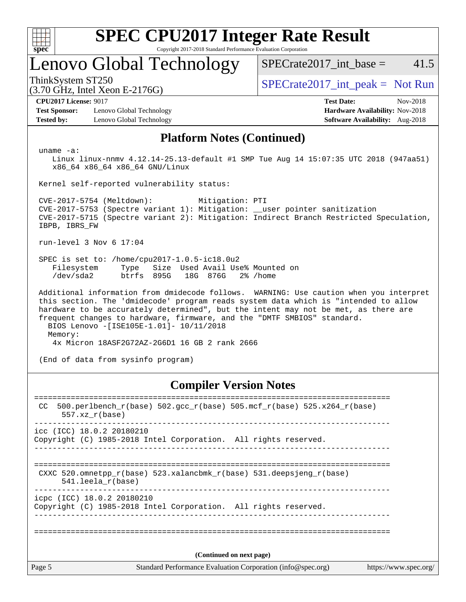| c<br>ŧ<br>ı |  |  |  |  |  |  |  |  |
|-------------|--|--|--|--|--|--|--|--|

# Lenovo Global Technology

 $SPECTate2017\_int\_base = 41.5$ 

(3.70 GHz, Intel Xeon E-2176G)

ThinkSystem ST250  $SPECrate2017$ \_int\_peak = Not Run

**[Test Sponsor:](http://www.spec.org/auto/cpu2017/Docs/result-fields.html#TestSponsor)** Lenovo Global Technology **[Hardware Availability:](http://www.spec.org/auto/cpu2017/Docs/result-fields.html#HardwareAvailability)** Nov-2018 **[Tested by:](http://www.spec.org/auto/cpu2017/Docs/result-fields.html#Testedby)** Lenovo Global Technology **[Software Availability:](http://www.spec.org/auto/cpu2017/Docs/result-fields.html#SoftwareAvailability)** Aug-2018

**[CPU2017 License:](http://www.spec.org/auto/cpu2017/Docs/result-fields.html#CPU2017License)** 9017 **[Test Date:](http://www.spec.org/auto/cpu2017/Docs/result-fields.html#TestDate)** Nov-2018

### **[Platform Notes \(Continued\)](http://www.spec.org/auto/cpu2017/Docs/result-fields.html#PlatformNotes)**

uname -a:

 Linux linux-nnmv 4.12.14-25.13-default #1 SMP Tue Aug 14 15:07:35 UTC 2018 (947aa51) x86\_64 x86\_64 x86\_64 GNU/Linux

Kernel self-reported vulnerability status:

 CVE-2017-5754 (Meltdown): Mitigation: PTI CVE-2017-5753 (Spectre variant 1): Mitigation: \_\_user pointer sanitization CVE-2017-5715 (Spectre variant 2): Mitigation: Indirect Branch Restricted Speculation, IBPB, IBRS\_FW

run-level 3 Nov 6 17:04

 SPEC is set to: /home/cpu2017-1.0.5-ic18.0u2 Filesystem Type Size Used Avail Use% Mounted on /dev/sda2 btrfs 895G 18G 876G 2% /home

 Additional information from dmidecode follows. WARNING: Use caution when you interpret this section. The 'dmidecode' program reads system data which is "intended to allow hardware to be accurately determined", but the intent may not be met, as there are frequent changes to hardware, firmware, and the "DMTF SMBIOS" standard. BIOS Lenovo -[ISE105E-1.01]- 10/11/2018 Memory: 4x Micron 18ASF2G72AZ-2G6D1 16 GB 2 rank 2666

(End of data from sysinfo program)

### **[Compiler Version Notes](http://www.spec.org/auto/cpu2017/Docs/result-fields.html#CompilerVersionNotes)**

Page 5 Standard Performance Evaluation Corporation [\(info@spec.org\)](mailto:info@spec.org) <https://www.spec.org/> ============================================================================== CC 500.perlbench\_r(base)  $502.\text{gcc\_r}$ (base)  $505.\text{mcf\_r}$ (base)  $525.\text{x}$ 264\_r(base) 557.xz\_r(base) ----------------------------------------------------------------------------- icc (ICC) 18.0.2 20180210 Copyright (C) 1985-2018 Intel Corporation. All rights reserved. ------------------------------------------------------------------------------ ============================================================================== CXXC 520.omnetpp\_r(base) 523.xalancbmk\_r(base) 531.deepsjeng\_r(base) 541.leela\_r(base) ----------------------------------------------------------------------------- icpc (ICC) 18.0.2 20180210 Copyright (C) 1985-2018 Intel Corporation. All rights reserved. ------------------------------------------------------------------------------ ============================================================================== **(Continued on next page)**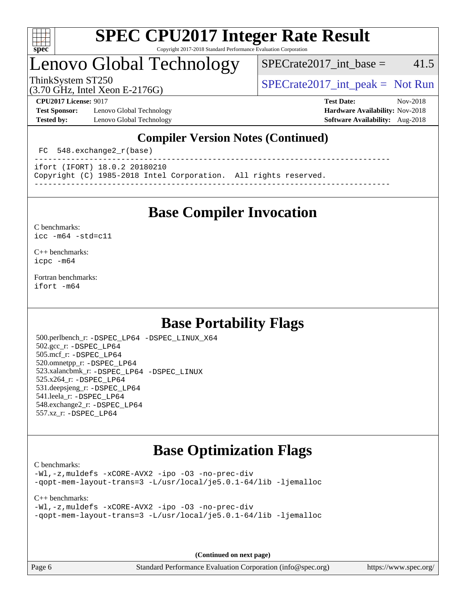

# Lenovo Global Technology

 $SPECrate2017\_int\_base = 41.5$ 

(3.70 GHz, Intel Xeon E-2176G)

ThinkSystem ST250  $SPECrate2017$ \_int\_peak = Not Run

**[Test Sponsor:](http://www.spec.org/auto/cpu2017/Docs/result-fields.html#TestSponsor)** Lenovo Global Technology **[Hardware Availability:](http://www.spec.org/auto/cpu2017/Docs/result-fields.html#HardwareAvailability)** Nov-2018 **[Tested by:](http://www.spec.org/auto/cpu2017/Docs/result-fields.html#Testedby)** Lenovo Global Technology **[Software Availability:](http://www.spec.org/auto/cpu2017/Docs/result-fields.html#SoftwareAvailability)** Aug-2018

**[CPU2017 License:](http://www.spec.org/auto/cpu2017/Docs/result-fields.html#CPU2017License)** 9017 **[Test Date:](http://www.spec.org/auto/cpu2017/Docs/result-fields.html#TestDate)** Nov-2018

### **[Compiler Version Notes \(Continued\)](http://www.spec.org/auto/cpu2017/Docs/result-fields.html#CompilerVersionNotes)**

FC 548.exchange2 r(base)

----------------------------------------------------------------------------- ifort (IFORT) 18.0.2 20180210

Copyright (C) 1985-2018 Intel Corporation. All rights reserved.

**[Base Compiler Invocation](http://www.spec.org/auto/cpu2017/Docs/result-fields.html#BaseCompilerInvocation)**

------------------------------------------------------------------------------

[C benchmarks](http://www.spec.org/auto/cpu2017/Docs/result-fields.html#Cbenchmarks): [icc -m64 -std=c11](http://www.spec.org/cpu2017/results/res2018q4/cpu2017-20181113-09712.flags.html#user_CCbase_intel_icc_64bit_c11_33ee0cdaae7deeeab2a9725423ba97205ce30f63b9926c2519791662299b76a0318f32ddfffdc46587804de3178b4f9328c46fa7c2b0cd779d7a61945c91cd35)

[C++ benchmarks:](http://www.spec.org/auto/cpu2017/Docs/result-fields.html#CXXbenchmarks) [icpc -m64](http://www.spec.org/cpu2017/results/res2018q4/cpu2017-20181113-09712.flags.html#user_CXXbase_intel_icpc_64bit_4ecb2543ae3f1412ef961e0650ca070fec7b7afdcd6ed48761b84423119d1bf6bdf5cad15b44d48e7256388bc77273b966e5eb805aefd121eb22e9299b2ec9d9)

[Fortran benchmarks](http://www.spec.org/auto/cpu2017/Docs/result-fields.html#Fortranbenchmarks): [ifort -m64](http://www.spec.org/cpu2017/results/res2018q4/cpu2017-20181113-09712.flags.html#user_FCbase_intel_ifort_64bit_24f2bb282fbaeffd6157abe4f878425411749daecae9a33200eee2bee2fe76f3b89351d69a8130dd5949958ce389cf37ff59a95e7a40d588e8d3a57e0c3fd751)

## **[Base Portability Flags](http://www.spec.org/auto/cpu2017/Docs/result-fields.html#BasePortabilityFlags)**

 500.perlbench\_r: [-DSPEC\\_LP64](http://www.spec.org/cpu2017/results/res2018q4/cpu2017-20181113-09712.flags.html#b500.perlbench_r_basePORTABILITY_DSPEC_LP64) [-DSPEC\\_LINUX\\_X64](http://www.spec.org/cpu2017/results/res2018q4/cpu2017-20181113-09712.flags.html#b500.perlbench_r_baseCPORTABILITY_DSPEC_LINUX_X64) 502.gcc\_r: [-DSPEC\\_LP64](http://www.spec.org/cpu2017/results/res2018q4/cpu2017-20181113-09712.flags.html#suite_basePORTABILITY502_gcc_r_DSPEC_LP64) 505.mcf\_r: [-DSPEC\\_LP64](http://www.spec.org/cpu2017/results/res2018q4/cpu2017-20181113-09712.flags.html#suite_basePORTABILITY505_mcf_r_DSPEC_LP64) 520.omnetpp\_r: [-DSPEC\\_LP64](http://www.spec.org/cpu2017/results/res2018q4/cpu2017-20181113-09712.flags.html#suite_basePORTABILITY520_omnetpp_r_DSPEC_LP64) 523.xalancbmk\_r: [-DSPEC\\_LP64](http://www.spec.org/cpu2017/results/res2018q4/cpu2017-20181113-09712.flags.html#suite_basePORTABILITY523_xalancbmk_r_DSPEC_LP64) [-DSPEC\\_LINUX](http://www.spec.org/cpu2017/results/res2018q4/cpu2017-20181113-09712.flags.html#b523.xalancbmk_r_baseCXXPORTABILITY_DSPEC_LINUX) 525.x264\_r: [-DSPEC\\_LP64](http://www.spec.org/cpu2017/results/res2018q4/cpu2017-20181113-09712.flags.html#suite_basePORTABILITY525_x264_r_DSPEC_LP64) 531.deepsjeng\_r: [-DSPEC\\_LP64](http://www.spec.org/cpu2017/results/res2018q4/cpu2017-20181113-09712.flags.html#suite_basePORTABILITY531_deepsjeng_r_DSPEC_LP64) 541.leela\_r: [-DSPEC\\_LP64](http://www.spec.org/cpu2017/results/res2018q4/cpu2017-20181113-09712.flags.html#suite_basePORTABILITY541_leela_r_DSPEC_LP64) 548.exchange2\_r: [-DSPEC\\_LP64](http://www.spec.org/cpu2017/results/res2018q4/cpu2017-20181113-09712.flags.html#suite_basePORTABILITY548_exchange2_r_DSPEC_LP64) 557.xz\_r: [-DSPEC\\_LP64](http://www.spec.org/cpu2017/results/res2018q4/cpu2017-20181113-09712.flags.html#suite_basePORTABILITY557_xz_r_DSPEC_LP64)

## **[Base Optimization Flags](http://www.spec.org/auto/cpu2017/Docs/result-fields.html#BaseOptimizationFlags)**

[C benchmarks](http://www.spec.org/auto/cpu2017/Docs/result-fields.html#Cbenchmarks):

[-Wl,-z,muldefs](http://www.spec.org/cpu2017/results/res2018q4/cpu2017-20181113-09712.flags.html#user_CCbase_link_force_multiple1_b4cbdb97b34bdee9ceefcfe54f4c8ea74255f0b02a4b23e853cdb0e18eb4525ac79b5a88067c842dd0ee6996c24547a27a4b99331201badda8798ef8a743f577) [-xCORE-AVX2](http://www.spec.org/cpu2017/results/res2018q4/cpu2017-20181113-09712.flags.html#user_CCbase_f-xCORE-AVX2) [-ipo](http://www.spec.org/cpu2017/results/res2018q4/cpu2017-20181113-09712.flags.html#user_CCbase_f-ipo) [-O3](http://www.spec.org/cpu2017/results/res2018q4/cpu2017-20181113-09712.flags.html#user_CCbase_f-O3) [-no-prec-div](http://www.spec.org/cpu2017/results/res2018q4/cpu2017-20181113-09712.flags.html#user_CCbase_f-no-prec-div) [-qopt-mem-layout-trans=3](http://www.spec.org/cpu2017/results/res2018q4/cpu2017-20181113-09712.flags.html#user_CCbase_f-qopt-mem-layout-trans_de80db37974c74b1f0e20d883f0b675c88c3b01e9d123adea9b28688d64333345fb62bc4a798493513fdb68f60282f9a726aa07f478b2f7113531aecce732043) [-L/usr/local/je5.0.1-64/lib](http://www.spec.org/cpu2017/results/res2018q4/cpu2017-20181113-09712.flags.html#user_CCbase_jemalloc_link_path64_4b10a636b7bce113509b17f3bd0d6226c5fb2346b9178c2d0232c14f04ab830f976640479e5c33dc2bcbbdad86ecfb6634cbbd4418746f06f368b512fced5394) [-ljemalloc](http://www.spec.org/cpu2017/results/res2018q4/cpu2017-20181113-09712.flags.html#user_CCbase_jemalloc_link_lib_d1249b907c500fa1c0672f44f562e3d0f79738ae9e3c4a9c376d49f265a04b9c99b167ecedbf6711b3085be911c67ff61f150a17b3472be731631ba4d0471706)

[C++ benchmarks:](http://www.spec.org/auto/cpu2017/Docs/result-fields.html#CXXbenchmarks)

```
-Wl,-z,muldefs -xCORE-AVX2 -ipo -O3 -no-prec-div
-qopt-mem-layout-trans=3 -L/usr/local/je5.0.1-64/lib -ljemalloc
```
**(Continued on next page)**

Page 6 Standard Performance Evaluation Corporation [\(info@spec.org\)](mailto:info@spec.org) <https://www.spec.org/>